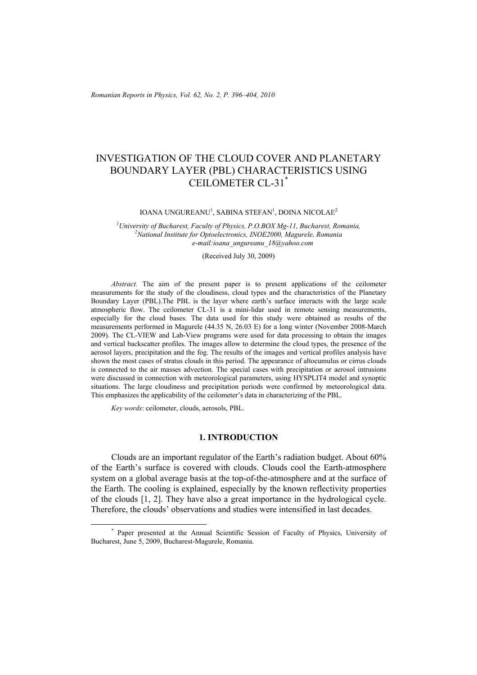# INVESTIGATION OF THE CLOUD COVER AND PLANETARY BOUNDARY LAYER (PBL) CHARACTERISTICS USING CEILOMETER CL-31\*

#### IOANA UNGUREANU<sup>1</sup>, SABINA STEFAN<sup>1</sup>, DOINA NICOLAE<sup>2</sup>

<sup>1</sup>University of Bucharest, Faculty of Physics, P.O.BOX Mg-11, Bucharest, Romania, <sup>2</sup>National Institute for Optoglastronias, INOF2000, Magurals, Pomania, <sup>2</sup> National Institute for Optoelectronics, INOE2000, Magurele, Romania *e-mail:ioana\_ungureanu\_18@yahoo.com* 

(Received July 30, 2009)

*Abstract.* The aim of the present paper is to present applications of the ceilometer measurements for the study of the cloudiness, cloud types and the characteristics of the Planetary Boundary Layer (PBL).The PBL is the layer where earth's surface interacts with the large scale atmospheric flow. The ceilometer CL-31 is a mini-lidar used in remote sensing measurements, especially for the cloud bases. The data used for this study were obtained as results of the measurements performed in Magurele (44.35 N, 26.03 E) for a long winter (November 2008-March 2009). The CL-VIEW and Lab-View programs were used for data processing to obtain the images and vertical backscatter profiles. The images allow to determine the cloud types, the presence of the aerosol layers, precipitation and the fog. The results of the images and vertical profiles analysis have shown the most cases of stratus clouds in this period. The appearance of altocumulus or cirrus clouds is connected to the air masses advection. The special cases with precipitation or aerosol intrusions were discussed in connection with meteorological parameters, using HYSPLIT4 model and synoptic situations. The large cloudiness and precipitation periods were confirmed by meteorological data. This emphasizes the applicability of the ceilometer's data in characterizing of the PBL.

*Key words*: ceilometer, clouds, aerosols, PBL.

# **1. INTRODUCTION**

Clouds are an important regulator of the Earth's radiation budget. About 60% of the Earth's surface is covered with clouds. Clouds cool the Earth-atmosphere system on a global average basis at the top-of-the-atmosphere and at the surface of the Earth. The cooling is explained, especially by the known reflectivity properties of the clouds [1, 2]. They have also a great importance in the hydrological cycle. Therefore, the clouds' observations and studies were intensified in last decades.

 <sup>\*</sup> Paper presented at the Annual Scientific Session of Faculty of Physics, University of Bucharest, June 5, 2009, Bucharest-Magurele, Romania.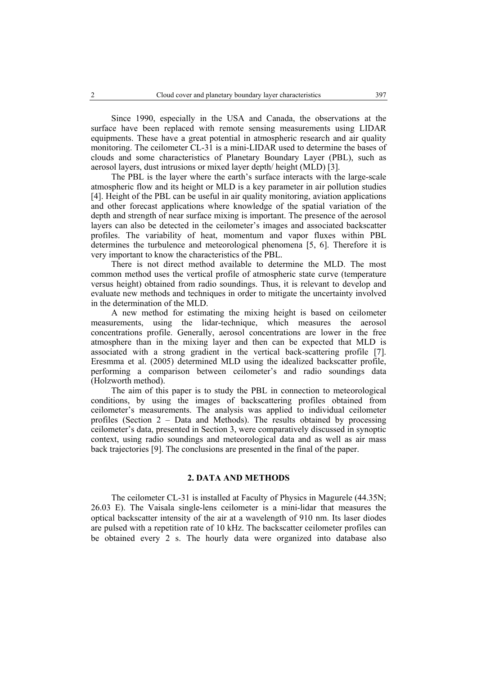Since 1990, especially in the USA and Canada, the observations at the surface have been replaced with remote sensing measurements using LIDAR equipments. These have a great potential in atmospheric research and air quality monitoring. The ceilometer CL-31 is a mini-LIDAR used to determine the bases of clouds and some characteristics of Planetary Boundary Layer (PBL), such as aerosol layers, dust intrusions or mixed layer depth/ height (MLD) [3].

The PBL is the layer where the earth's surface interacts with the large-scale atmospheric flow and its height or MLD is a key parameter in air pollution studies [4]. Height of the PBL can be useful in air quality monitoring, aviation applications and other forecast applications where knowledge of the spatial variation of the depth and strength of near surface mixing is important. The presence of the aerosol layers can also be detected in the ceilometer's images and associated backscatter profiles. The variability of heat, momentum and vapor fluxes within PBL determines the turbulence and meteorological phenomena [5, 6]. Therefore it is very important to know the characteristics of the PBL.

There is not direct method available to determine the MLD. The most common method uses the vertical profile of atmospheric state curve (temperature versus height) obtained from radio soundings. Thus, it is relevant to develop and evaluate new methods and techniques in order to mitigate the uncertainty involved in the determination of the MLD.

A new method for estimating the mixing height is based on ceilometer measurements, using the lidar-technique, which measures the aerosol concentrations profile. Generally, aerosol concentrations are lower in the free atmosphere than in the mixing layer and then can be expected that MLD is associated with a strong gradient in the vertical back-scattering profile [7]. Eresmma et al. (2005) determined MLD using the idealized backscatter profile, performing a comparison between ceilometer's and radio soundings data (Holzworth method).

The aim of this paper is to study the PBL in connection to meteorological conditions, by using the images of backscattering profiles obtained from ceilometer's measurements. The analysis was applied to individual ceilometer profiles (Section 2 – Data and Methods). The results obtained by processing ceilometer's data, presented in Section 3, were comparatively discussed in synoptic context, using radio soundings and meteorological data and as well as air mass back trajectories [9]. The conclusions are presented in the final of the paper.

# **2. DATA AND METHODS**

 The ceilometer CL-31 is installed at Faculty of Physics in Magurele (44.35N; 26.03 E). The Vaisala single-lens ceilometer is a mini-lidar that measures the optical backscatter intensity of the air at a wavelength of 910 nm. Its laser diodes are pulsed with a repetition rate of 10 kHz. The backscatter ceilometer profiles can be obtained every 2 s. The hourly data were organized into database also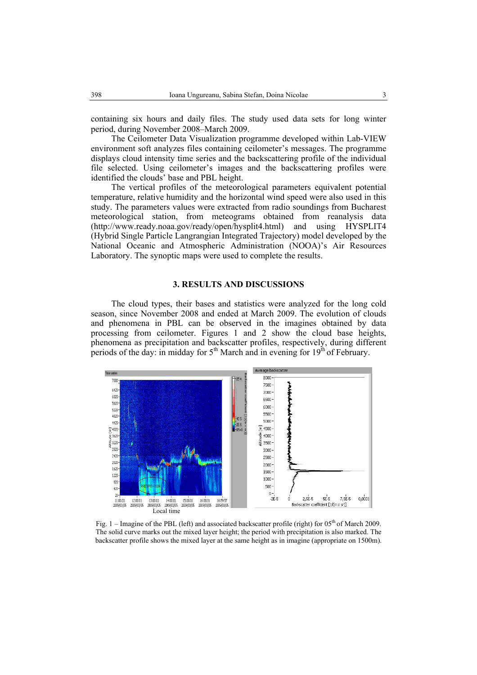containing six hours and daily files. The study used data sets for long winter period, during November 2008–March 2009.

 The Ceilometer Data Visualization programme developed within Lab-VIEW environment soft analyzes files containing ceilometer's messages. The programme displays cloud intensity time series and the backscattering profile of the individual file selected. Using ceilometer's images and the backscattering profiles were identified the clouds' base and PBL height.

 The vertical profiles of the meteorological parameters equivalent potential temperature, relative humidity and the horizontal wind speed were also used in this study. The parameters values were extracted from radio soundings from Bucharest meteorological station, from meteograms obtained from reanalysis data (http://www.ready.noaa.gov/ready/open/hysplit4.html) and using HYSPLIT4 (Hybrid Single Particle Langrangian Integrated Trajectory) model developed by the National Oceanic and Atmospheric Administration (NOOA)'s Air Resources Laboratory. The synoptic maps were used to complete the results.

# **3. RESULTS AND DISCUSSIONS**

The cloud types, their bases and statistics were analyzed for the long cold season, since November 2008 and ended at March 2009. The evolution of clouds and phenomena in PBL can be observed in the imagines obtained by data processing from ceilometer. Figures 1 and 2 show the cloud base heights, phenomena as precipitation and backscatter profiles, respectively, during different periods of the day: in midday for  $5<sup>th</sup>$  March and in evening for  $19<sup>th</sup>$  of February.



Fig. 1 – Imagine of the PBL (left) and associated backscatter profile (right) for 05<sup>th</sup> of March 2009. The solid curve marks out the mixed layer height; the period with precipitation is also marked. The backscatter profile shows the mixed layer at the same height as in imagine (appropriate on 1500m).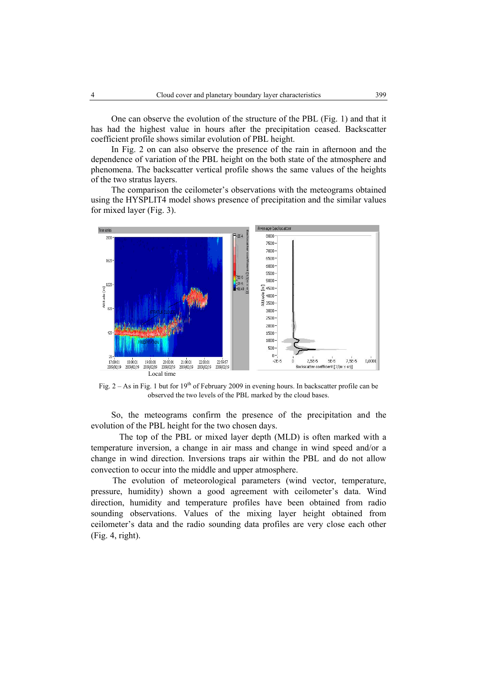One can observe the evolution of the structure of the PBL (Fig. 1) and that it has had the highest value in hours after the precipitation ceased. Backscatter coefficient profile shows similar evolution of PBL height.

In Fig. 2 on can also observe the presence of the rain in afternoon and the dependence of variation of the PBL height on the both state of the atmosphere and phenomena. The backscatter vertical profile shows the same values of the heights of the two stratus layers.

The comparison the ceilometer's observations with the meteograms obtained using the HYSPLIT4 model shows presence of precipitation and the similar values for mixed layer (Fig. 3).



Fig.  $2 - As$  in Fig. 1 but for  $19<sup>th</sup>$  of February 2009 in evening hours. In backscatter profile can be observed the two levels of the PBL marked by the cloud bases.

So, the meteograms confirm the presence of the precipitation and the evolution of the PBL height for the two chosen days.

The top of the PBL or mixed layer depth (MLD) is often marked with a temperature inversion, a change in air mass and change in wind speed and/or a change in wind direction. Inversions traps air within the PBL and do not allow convection to occur into the middle and upper atmosphere.

The evolution of meteorological parameters (wind vector, temperature, pressure, humidity) shown a good agreement with ceilometer's data. Wind direction, humidity and temperature profiles have been obtained from radio sounding observations. Values of the mixing layer height obtained from ceilometer's data and the radio sounding data profiles are very close each other (Fig. 4, right).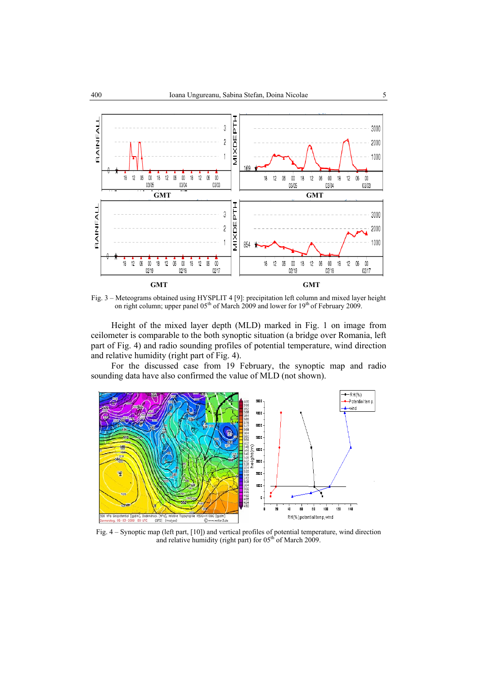

Fig. 3 – Meteograms obtained using HYSPLIT 4 [9]: precipitation left column and mixed layer height on right column; upper panel 05<sup>th</sup> of March 2009 and lower for 19<sup>th</sup> of February 2009.

Height of the mixed layer depth (MLD) marked in Fig. 1 on image from ceilometer is comparable to the both synoptic situation (a bridge over Romania, left part of Fig. 4) and radio sounding profiles of potential temperature, wind direction and relative humidity (right part of Fig. 4).

For the discussed case from 19 February, the synoptic map and radio sounding data have also confirmed the value of MLD (not shown).



Fig. 4 – Synoptic map (left part, [10]) and vertical profiles of potential temperature, wind direction and relative humidity (right part) for  $05<sup>th</sup>$  of March 2009.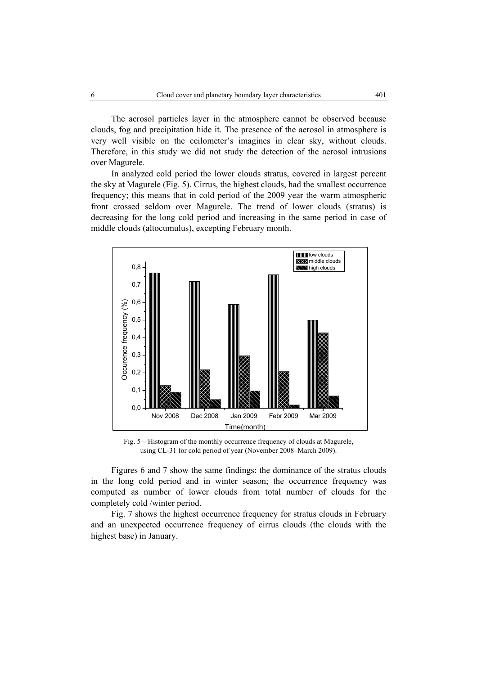The aerosol particles layer in the atmosphere cannot be observed because clouds, fog and precipitation hide it. The presence of the aerosol in atmosphere is very well visible on the ceilometer's imagines in clear sky, without clouds. Therefore, in this study we did not study the detection of the aerosol intrusions over Magurele.

In analyzed cold period the lower clouds stratus, covered in largest percent the sky at Magurele (Fig. 5). Cirrus, the highest clouds, had the smallest occurrence frequency; this means that in cold period of the 2009 year the warm atmospheric front crossed seldom over Magurele. The trend of lower clouds (stratus) is decreasing for the long cold period and increasing in the same period in case of middle clouds (altocumulus), excepting February month.



Fig. 5 – Histogram of the monthly occurrence frequency of clouds at Magurele, using CL-31 for cold period of year (November 2008–March 2009).

Figures 6 and 7 show the same findings: the dominance of the stratus clouds in the long cold period and in winter season; the occurrence frequency was computed as number of lower clouds from total number of clouds for the completely cold /winter period.

Fig. 7 shows the highest occurrence frequency for stratus clouds in February and an unexpected occurrence frequency of cirrus clouds (the clouds with the highest base) in January.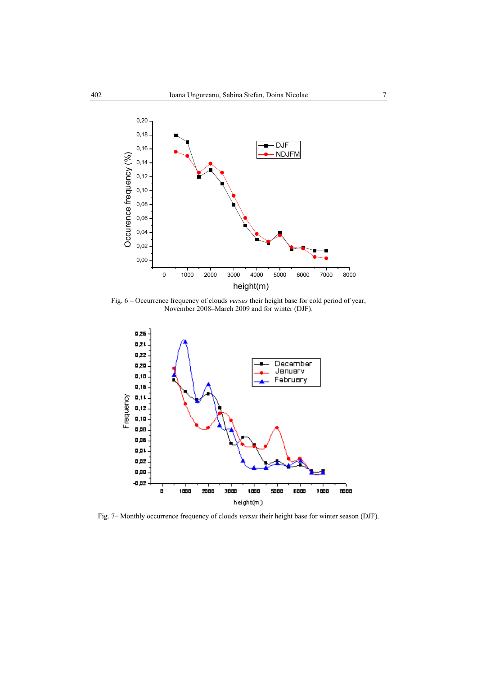

Fig. 6 – Occurrence frequency of clouds *versus* their height base for cold period of year, November 2008–March 2009 and for winter (DJF).



Fig. 7– Monthly occurrence frequency of clouds *versus* their height base for winter season (DJF).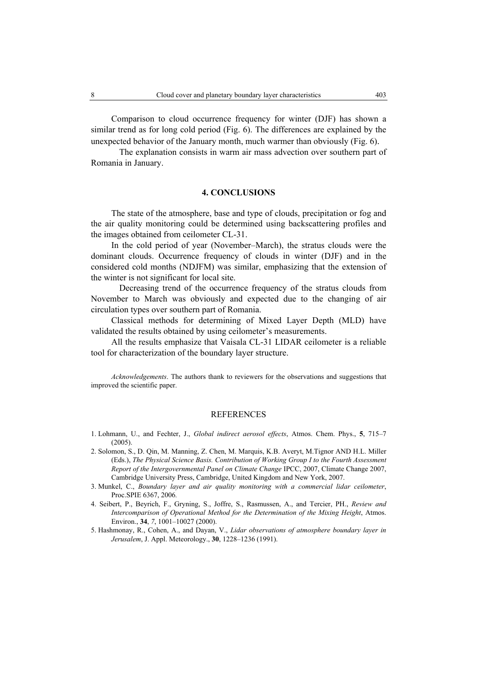Comparison to cloud occurrence frequency for winter (DJF) has shown a similar trend as for long cold period (Fig. 6). The differences are explained by the unexpected behavior of the January month, much warmer than obviously (Fig. 6).

The explanation consists in warm air mass advection over southern part of Romania in January.

#### **4. CONCLUSIONS**

 The state of the atmosphere, base and type of clouds, precipitation or fog and the air quality monitoring could be determined using backscattering profiles and the images obtained from ceilometer CL-31.

 In the cold period of year (November–March), the stratus clouds were the dominant clouds. Occurrence frequency of clouds in winter (DJF) and in the considered cold months (NDJFM) was similar, emphasizing that the extension of the winter is not significant for local site.

Decreasing trend of the occurrence frequency of the stratus clouds from November to March was obviously and expected due to the changing of air circulation types over southern part of Romania.

 Classical methods for determining of Mixed Layer Depth (MLD) have validated the results obtained by using ceilometer's measurements.

 All the results emphasize that Vaisala CL-31 LIDAR ceilometer is a reliable tool for characterization of the boundary layer structure.

*Acknowledgements*. The authors thank to reviewers for the observations and suggestions that improved the scientific paper.

#### REFERENCES

- 1. Lohmann, U., and Fechter, J., *Global indirect aerosol effects*, Atmos. Chem. Phys., **5**, 715–7 (2005).
- 2. Solomon, S., D. Qin, M. Manning, Z. Chen, M. Marquis, K.B. Averyt, M.Tignor AND H.L. Miller (Eds.), *The Physical Science Basis. Contribution of Working Group I to the Fourth Assessment Report of the Intergovernmental Panel on Climate Change* IPCC, 2007, Climate Change 2007, Cambridge University Press, Cambridge, United Kingdom and New York, 2007.
- 3. Munkel, C., *Boundary layer and air quality monitoring with a commercial lidar ceilometer*, Proc.SPIE 6367, 2006*.*
- 4. Seibert, P., Beyrich, F., Gryning, S., Joffre, S., Rasmussen, A., and Tercier, PH., *Review and Intercomparison of Operational Method for the Determination of the Mixing Height*, Atmos. Environ., **34**, *7*, 1001–10027 (2000).
- 5. Hashmonay, R., Cohen, A., and Dayan, V., *Lidar observations of atmosphere boundary layer in Jerusalem*, J. Appl. Meteorology., **30**, 1228–1236 (1991).